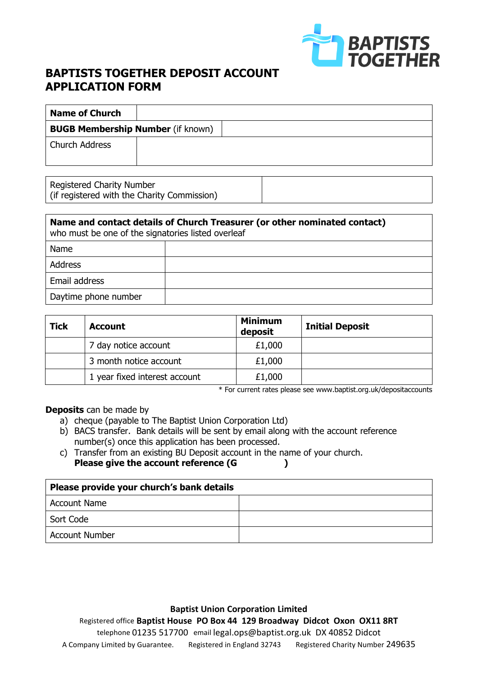

## **BAPTISTS TOGETHER DEPOSIT ACCOUNT APPLICATION FORM**

| <b>Name of Church</b>                    |  |
|------------------------------------------|--|
| <b>BUGB Membership Number (if known)</b> |  |
| Church Address                           |  |

| Registered Charity Number<br>(if registered with the Charity Commission) |  |
|--------------------------------------------------------------------------|--|
|                                                                          |  |

| Name and contact details of Church Treasurer (or other nominated contact)<br>who must be one of the signatories listed overleaf |  |  |
|---------------------------------------------------------------------------------------------------------------------------------|--|--|
| Name                                                                                                                            |  |  |
| <b>Address</b>                                                                                                                  |  |  |
| Email address                                                                                                                   |  |  |
| Daytime phone number                                                                                                            |  |  |

| <b>Tick</b> | <b>Account</b>                | <b>Minimum</b><br>deposit | <b>Initial Deposit</b> |
|-------------|-------------------------------|---------------------------|------------------------|
|             | 7 day notice account          | £1,000                    |                        |
|             | 3 month notice account        | £1,000                    |                        |
|             | 1 year fixed interest account | £1,000                    |                        |

\* For current rates please see [www.baptist.org.uk/depositaccounts](http://www.baptist.org.uk/depositaccounts)

**Deposits** can be made by

- a) cheque (payable to The Baptist Union Corporation Ltd)
- b) BACS transfer. Bank details will be sent by email along with the account reference number(s) once this application has been processed.
- c) Transfer from an existing BU Deposit account in the name of your church. Please give the account reference (G  $\qquad \qquad$  )

| Please provide your church's bank details |  |  |
|-------------------------------------------|--|--|
| <b>Account Name</b>                       |  |  |
| Sort Code                                 |  |  |
| <b>Account Number</b>                     |  |  |

**Baptist Union Corporation Limited** Registered office **Baptist House PO Box 44 129 Broadway Didcot Oxon OX11 8RT**  telephone 01235 517700 email legal.ops@baptist.org.uk DX 40852 Didcot A Company Limited by Guarantee. Registered in England 32743 Registered Charity Number 249635